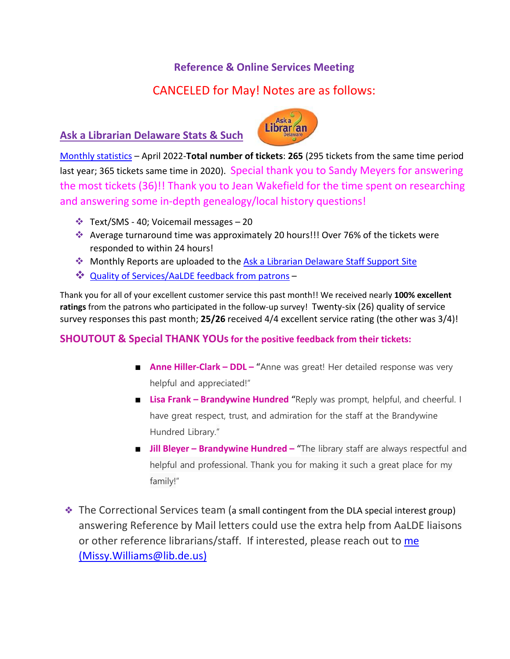### **Reference & Online Services Meeting**

# CANCELED for May! Notes are as follows:

### **Ask a Librarian Delaware Stats & Such**



[Monthly statistics](https://aalstaff.lib.de.us/home/reports/fy22-monthly-reports/) – April 2022-**Total number of tickets**: **265** (295 tickets from the same time period last year; 365 tickets same time in 2020). Special thank you to Sandy Meyers for answering the most tickets (36)!! Thank you to Jean Wakefield for the time spent on researching and answering some in-depth genealogy/local history questions!

- $\div$  Text/SMS 40; Voicemail messages 20
- Average turnaround time was approximately 20 hours!!! Over 76% of the tickets were responded to within 24 hours!
- Monthly Reports are uploaded to the [Ask a Librarian Delaware Staff Support Site](https://aalstaff.lib.de.us/home/reports/fy21-monthly-reports/)
- [Quality of Services/](https://ask.springshare.com/libanswers/faq/2830)AaLDE feedback from patrons –

Thank you for all of your excellent customer service this past month!! We received nearly **100% excellent ratings** from the patrons who participated in the follow-up survey! Twenty-six (26) quality of service survey responses this past month; **25/26** received 4/4 excellent service rating (the other was 3/4)!

#### **SHOUTOUT & Special THANK YOUs for the positive feedback from their tickets:**

- **Anne Hiller-Clark DDL –** "Anne was great! Her detailed response was very helpful and appreciated!"
- **Lisa Frank – Brandywine Hundred** "Reply was prompt, helpful, and cheerful. I have great respect, trust, and admiration for the staff at the Brandywine Hundred Library."
- **Jill Bleyer Brandywine Hundred –** "The library staff are always respectful and helpful and professional. Thank you for making it such a great place for my family!"

❖ The Correctional Services team (a small contingent from the DLA special interest group) answering Reference by Mail letters could use the extra help from AaLDE liaisons or other reference librarians/staff. If interested, please reach out to [me](mailto:me%20(Missy)  [\(Missy.](mailto:me%20(Missy)Williams@lib.de.us)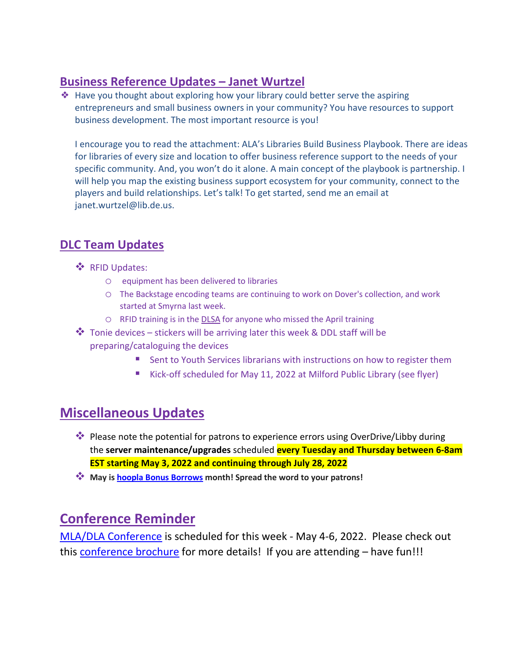## **Business Reference Updates – Janet Wurtzel**

❖ Have you thought about exploring how your library could better serve the aspiring entrepreneurs and small business owners in your community? You have resources to support business development. The most important resource is you!

I encourage you to read the attachment: ALA's Libraries Build Business Playbook. There are ideas for libraries of every size and location to offer business reference support to the needs of your specific community. And, you won't do it alone. A main concept of the playbook is partnership. I will help you map the existing business support ecosystem for your community, connect to the players and build relationships. Let's talk! To get started, send me an email at janet.wurtzel@lib.de.us.

## **DLC Team Updates**

- ❖ RFID Updates:
	- o equipment has been delivered to libraries
	- o The Backstage encoding teams are continuing to work on Dover's collection, and work started at Smyrna last week.
	- o RFID training is in the [DLSA](https://my.nicheacademy.com/delawarelibrariesstaffacademy/course/47228) for anyone who missed the April training
- $\clubsuit$  Tonie devices stickers will be arriving later this week & DDL staff will be preparing/cataloguing the devices
	- **Sent to Youth Services librarians with instructions on how to register them**
	- Kick-off scheduled for May 11, 2022 at Milford Public Library (see flyer)

# **Miscellaneous Updates**

- **Please note the potential for patrons to experience errors using OverDrive/Libby during** the **server maintenance/upgrades** scheduled **every Tuesday and Thursday between 6-8am EST starting May 3, 2022 and continuing through July 28, 2022**
- **May is [hoopla Bonus Borrows](https://www.youtube.com/watch?v=bB3atj3m9Nc) month! Spread the word to your patrons!**

## **Conference Reminder**

[MLA/DLA Conference](https://www.mladlacon.com/) is scheduled for this week - May 4-6, 2022. Please check out this [conference brochure](https://www.mdlib.org/Files/docs/conference/MLA-DLA_2022_Conference_FINAL.pdf) for more details! If you are attending - have fun!!!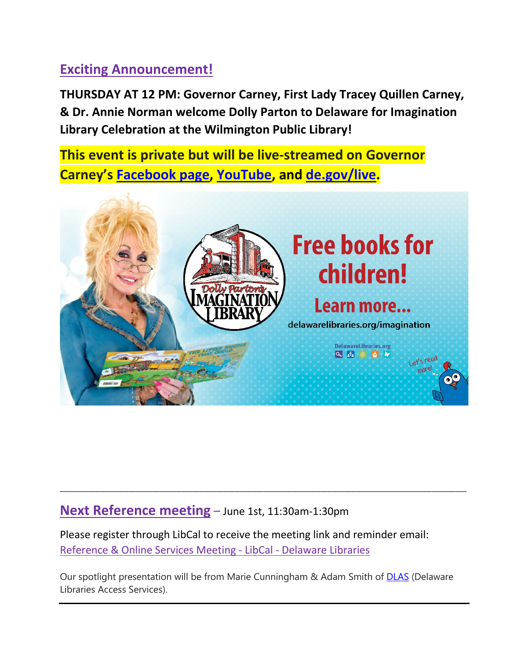# **Exciting Announcement!**

**THURSDAY AT 12 PM: Governor Carney, First Lady Tracey Quillen Carney, & Dr. Annie Norman welcome Dolly Parton to Delaware for Imagination Library Celebration at the Wilmington Public Library!**

**This event is private but will be live-streamed on Governor Carney's [Facebook page,](https://gcc02.safelinks.protection.outlook.com/?url=https%3A%2F%2Furldefense.com%2Fv3%2F__https%3A%2Fgcc02.safelinks.protection.outlook.com%2F%3Furl%3Dhttps*3A*2F*2Furldefense.com*2Fv3*2F__https*3A*2Fgcc02.safelinks.protection.outlook.com*2F*3Furl*3Dhttp*3A*2F*2Ffacebook.com*2Fjohncarneyde*26data*3D04*7C01*7CJessica.Borcky*40delaware.gov*7Cde9a118d4b0548e9f3b608d9850be841*7C8c09e56951c54deeabb28b99c32a4396*7C0*7C0*7C637687108445756407*7CUnknown*7CTWFpbGZsb3d8eyJWIjoiMC4wLjAwMDAiLCJQIjoiV2luMzIiLCJBTiI6Ik1haWwiLCJXVCI6Mn0*3D*7C1000*26sdata*3D4FSKg1uDSVm0MBvI6eDmHUUf*2FtYggGKqDYhCQDDAEYc*3D*26reserved*3D0__*3BJSUlJSUlJSUlJSUlJSUlJSUl!!Bg5easoyC-OII2vlEqY8mTBrtW-N4OJKAQ!dZEZPfmuJNYemifXMKEo3LgSAwaKbDY7LAjF5sVPGDTNnKLEbP-erP6S0p7kF9kFstoKczthMd4*24%26data%3D04*7C01*7CEmily.David*40delaware.gov*7C41ed328948fd4579382808d986d3a1f8*7C8c09e56951c54deeabb28b99c32a4396*7C0*7C0*7C637689065798847970*7CUnknown*7CTWFpbGZsb3d8eyJWIjoiMC4wLjAwMDAiLCJQIjoiV2luMzIiLCJBTiI6Ik1haWwiLCJXVCI6Mn0*3D*7C1000%26sdata%3DpRJShAPSwRup5XgWbQYqSmLf7H1F36o*2FmhxMiMw133U*3D%26reserved%3D0__%3BJSUlJSUlJSUlJSoqKiolJSoqKioqKioqKioqKiUlKiolJSUlJSUlJSUlJSUlJSUlJSU!!Bg5easoyC-OII2vlEqY8mTBrtW-N4OJKAQ!fbF8ShG8LRJlrc52teo9wJSiGfhbkx8eXCGiBHuxzCHGMxa8v59Qtxpxi6rg6tY2QByU4G5Bkq0%24&data=05%7C01%7Cannie.norman%40delaware.gov%7C72e036be0fa0440d2ca608da2c6831fd%7C8c09e56951c54deeabb28b99c32a4396%7C0%7C0%7C637871123289795472%7CUnknown%7CTWFpbGZsb3d8eyJWIjoiMC4wLjAwMDAiLCJQIjoiV2luMzIiLCJBTiI6Ik1haWwiLCJXVCI6Mn0%3D%7C3000%7C%7C%7C&sdata=T5a8Eswz2EXtgmVJED3kD%2FN8hUe%2BkHohwh9kKd%2BEKbM%3D&reserved=0) [YouTube,](https://gcc02.safelinks.protection.outlook.com/?url=https%3A%2F%2Furldefense.com%2Fv3%2F__https%3A%2Fgcc02.safelinks.protection.outlook.com%2F%3Furl%3Dhttps*3A*2F*2Furldefense.com*2Fv3*2F__https*3A*2Fgcc02.safelinks.protection.outlook.com*2F*3Furl*3Dhttp*3A*2F*2Fyoutube.com*2Fjohncarneyde*26data*3D04*7C01*7CJessica.Borcky*40delaware.gov*7Cde9a118d4b0548e9f3b608d9850be841*7C8c09e56951c54deeabb28b99c32a4396*7C0*7C0*7C637687108445766351*7CUnknown*7CTWFpbGZsb3d8eyJWIjoiMC4wLjAwMDAiLCJQIjoiV2luMzIiLCJBTiI6Ik1haWwiLCJXVCI6Mn0*3D*7C1000*26sdata*3DLhUwVlZYzPL*2B*2BdDTWD6Y7vvivyuNv4hkCl4b6fWbCuo*3D*26reserved*3D0__*3BJSUlJSUlJSUlJSUlJSUlJSUlJQ!!Bg5easoyC-OII2vlEqY8mTBrtW-N4OJKAQ!dZEZPfmuJNYemifXMKEo3LgSAwaKbDY7LAjF5sVPGDTNnKLEbP-erP6S0p7kF9kFstoKx3YrMVs*24%26data%3D04*7C01*7CEmily.David*40delaware.gov*7C41ed328948fd4579382808d986d3a1f8*7C8c09e56951c54deeabb28b99c32a4396*7C0*7C0*7C637689065798858037*7CUnknown*7CTWFpbGZsb3d8eyJWIjoiMC4wLjAwMDAiLCJQIjoiV2luMzIiLCJBTiI6Ik1haWwiLCJXVCI6Mn0*3D*7C1000%26sdata%3D9hjaKLqDM0Hjq9l4z1orwqdHfeANxjYIvax8m*2B5LkZY*3D%26reserved%3D0__%3BJSUlJSUlJSUlJSoqKiolJSoqKioqKioqKioqKiUlKioqJSUlJSUlJSUlJSUlJSUlJSUl!!Bg5easoyC-OII2vlEqY8mTBrtW-N4OJKAQ!fbF8ShG8LRJlrc52teo9wJSiGfhbkx8eXCGiBHuxzCHGMxa8v59Qtxpxi6rg6tY2QByU25oo5RQ%24&data=05%7C01%7Cannie.norman%40delaware.gov%7C72e036be0fa0440d2ca608da2c6831fd%7C8c09e56951c54deeabb28b99c32a4396%7C0%7C0%7C637871123289795472%7CUnknown%7CTWFpbGZsb3d8eyJWIjoiMC4wLjAwMDAiLCJQIjoiV2luMzIiLCJBTiI6Ik1haWwiLCJXVCI6Mn0%3D%7C3000%7C%7C%7C&sdata=uKFBrs68x4%2FRgrXNY5J7wL1AgxcAHyyxmTNgmuinRzE%3D&reserved=0) and [de.gov/live.](https://gcc02.safelinks.protection.outlook.com/?url=https%3A%2F%2Furldefense.com%2Fv3%2F__https%3A%2Fgcc02.safelinks.protection.outlook.com%2F%3Furl%3Dhttps*3A*2F*2Furldefense.com*2Fv3*2F__http*3A*2Fde.gov*2Flive__*3B!!Bg5easoyC-OII2vlEqY8mTBrtW-N4OJKAQ!dZEZPfmuJNYemifXMKEo3LgSAwaKbDY7LAjF5sVPGDTNnKLEbP-erP6S0p7kF9kFstoKve4vR2A*24%26data%3D04*7C01*7CEmily.David*40delaware.gov*7C41ed328948fd4579382808d986d3a1f8*7C8c09e56951c54deeabb28b99c32a4396*7C0*7C0*7C637689065798858037*7CUnknown*7CTWFpbGZsb3d8eyJWIjoiMC4wLjAwMDAiLCJQIjoiV2luMzIiLCJBTiI6Ik1haWwiLCJXVCI6Mn0*3D*7C1000%26sdata%3DYgpsWi6G7XGkZ*2Bv*2BZtifZ0nVlBCtE5qlwdH8TQwnxTQ*3D%26reserved%3D0__%3BJSUlJSUlJSUlJSUlJSUlJSUlJSUlJSUlJQ!!Bg5easoyC-OII2vlEqY8mTBrtW-N4OJKAQ!fbF8ShG8LRJlrc52teo9wJSiGfhbkx8eXCGiBHuxzCHGMxa8v59Qtxpxi6rg6tY2QByUyCvWIh4%24&data=05%7C01%7Cannie.norman%40delaware.gov%7C72e036be0fa0440d2ca608da2c6831fd%7C8c09e56951c54deeabb28b99c32a4396%7C0%7C0%7C637871123289795472%7CUnknown%7CTWFpbGZsb3d8eyJWIjoiMC4wLjAwMDAiLCJQIjoiV2luMzIiLCJBTiI6Ik1haWwiLCJXVCI6Mn0%3D%7C3000%7C%7C%7C&sdata=2jng4QN4tZgxdx8v0Y8glbeZTHLzSUDts1cvnlxO5Sk%3D&reserved=0)**



# **Next Reference meeting** – June 1st, 11:30am-1:30pm

Please register through LibCal to receive the meeting link and reminder email: [Reference & Online Services Meeting -](https://delawarelibraries.libcal.com/event/8770624) LibCal - Delaware Libraries

Our spotlight presentation will be from Marie Cunningham & Adam Smith of **[DLAS](https://libraries.delaware.gov/dlas/)** (Delaware Libraries Access Services).

\_\_\_\_\_\_\_\_\_\_\_\_\_\_\_\_\_\_\_\_\_\_\_\_\_\_\_\_\_\_\_\_\_\_\_\_\_\_\_\_\_\_\_\_\_\_\_\_\_\_\_\_\_\_\_\_\_\_\_\_\_\_\_\_\_\_\_\_\_\_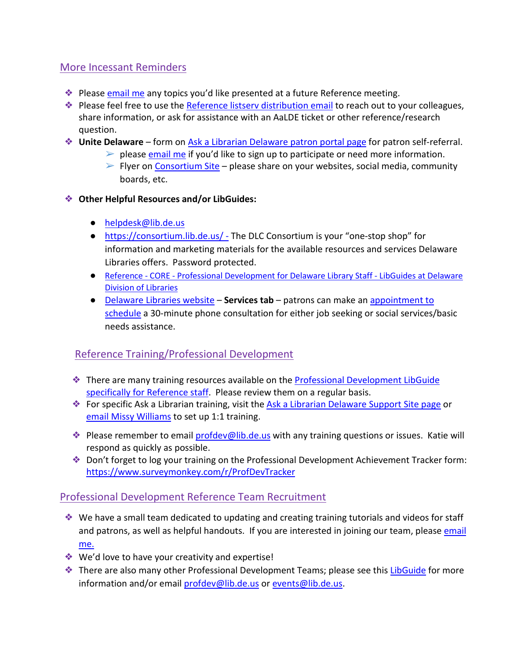#### More Incessant Reminders

- ❖ Please [email me](mailto:missy.williams@lib.de.us) any topics you'd like presented at a future Reference meeting.
- ◆ Please feel free to use the Reference listsery distribution email to reach out to your colleagues, share information, or ask for assistance with an AaLDE ticket or other reference/research question.
- ❖ **Unite Delaware** form on [Ask a Librarian Delaware patron portal page](https://answers.delawarelibraries.org/) for patron self-referral.
	- $\triangleright$  please [email me](mailto:missy.williams@lib.de.us) if you'd like to sign up to participate or need more information.
	- $\triangleright$  Flyer on [Consortium Site](https://consortium.lib.de.us/marketing/) please share on your websites, social media, community boards, etc.
- ❖ **Other Helpful Resources and/or LibGuides:**
	- [helpdesk@lib.de.us](mailto:helpdesk@lib.de.us)
	- <https://consortium.lib.de.us/> The DLC Consortium is your "one-stop shop" for information and marketing materials for the available resources and services Delaware Libraries offers. Password protected.
	- Reference CORE [Professional Development for Delaware Library Staff -](https://guides.lib.de.us/profdev/refcore) LibGuides at Delaware [Division of Libraries](https://guides.lib.de.us/profdev/refcore)
	- [Delaware Libraries website](https://lib.de.us/) **Services tab** patrons can make an [appointment to](https://delawarelibraries.libcal.com/appointments/)  [schedule](https://delawarelibraries.libcal.com/appointments/) a 30-minute phone consultation for either job seeking or social services/basic needs assistance.

### Reference Training/Professional Development

- ❖ There are many training resources available on the [Professional Development LibGuide](https://guides.lib.de.us/c.php?g=386101&p=2619930)  [specifically for Reference staff.](https://guides.lib.de.us/c.php?g=386101&p=2619930) Please review them on a regular basis.
- ◆ For specific Ask a Librarian training, visit the [Ask a Librarian Delaware Support Site page](https://aalstaff.lib.de.us/all-meetings-trainings/training-tutorials/) or [email Missy](mailto:missy.williams@lib.de.us) Williams to set up 1:1 training.
- ❖ Please remember to email [profdev@lib.de.us](mailto:profdev@lib.de.us) with any training questions or issues. Katie will respond as quickly as possible.
- ❖ Don't forget to log your training on the Professional Development Achievement Tracker form: <https://www.surveymonkey.com/r/ProfDevTracker>

#### Professional Development Reference Team Recruitment

- ❖ We have a small team dedicated to updating and creating training tutorials and videos for staff and patrons, as well as helpful handouts. If you are interested in joining our team, please email [me.](mailto:missy.williams@lib.de.us)
- ❖ We'd love to have your creativity and expertise!
- ❖ There are also many other Professional Development Teams; please see this [LibGuide](https://guides.lib.de.us/profdevteam) for more information and/or email [profdev@lib.de.us](mailto:profdev@lib.de.us) or [events@lib.de.us.](mailto:events@lib.de.us)